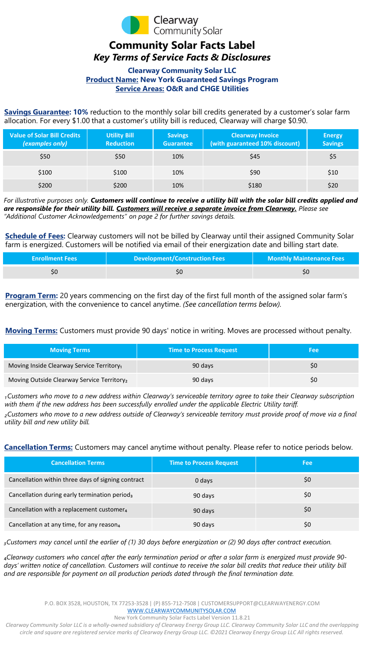

## **Community Solar Facts Label** *Key Terms of Service Facts & Disclosures*

## **Clearway Community Solar LLC Product Name: New York Guaranteed Savings Program Service Areas: O&R and CHGE Utilities**

**Savings Guarantee: 10%** reduction to the monthly solar bill credits generated by a customer's solar farm allocation. For every \$1.00 that a customer's utility bill is reduced, Clearway will charge \$0.90.

| <b>Value of Solar Bill Credits</b><br>(examples only) | <b>Utility Bill</b><br><b>Reduction</b> | <b>Savings</b><br><b>Guarantee</b> | <b>Clearway Invoice</b><br>(with guaranteed 10% discount) | <b>Energy</b><br><b>Savings</b> |
|-------------------------------------------------------|-----------------------------------------|------------------------------------|-----------------------------------------------------------|---------------------------------|
| \$50                                                  | \$50                                    | 10%                                | \$45                                                      | \$5                             |
| \$100                                                 | \$100                                   | 10%                                | \$90                                                      | \$10                            |
| \$200                                                 | \$200                                   | 10%                                | \$180                                                     | \$20                            |

*For illustrative purposes only. Customers will continue to receive a utility bill with the solar bill credits applied and are responsible for their utility bill. Customers will receive a separate invoice from Clearway. Please see "Additional Customer Acknowledgements" on page 2 for further savings details.* 

**Schedule of Fees:** Clearway customers will not be billed by Clearway until their assigned Community Solar farm is energized. Customers will be notified via email of their energization date and billing start date.

| <b>Enrollment Fees</b> | <b>Development/Construction Fees</b> | <b>Monthly Maintenance Fees</b> |
|------------------------|--------------------------------------|---------------------------------|
|                        |                                      |                                 |

**Program Term:** 20 years commencing on the first day of the first full month of the assigned solar farm's energization, with the convenience to cancel anytime. *(See cancellation terms below).*

**Moving Terms:** Customers must provide 90 days' notice in writing. Moves are processed without penalty.

| <b>Moving Terms</b>                                    | <b>Time to Process Request</b> | Fee |
|--------------------------------------------------------|--------------------------------|-----|
| Moving Inside Clearway Service Territory <sub>1</sub>  | 90 days                        | S0  |
| Moving Outside Clearway Service Territory <sub>2</sub> | 90 days                        | S0  |

*₁Customers who move to a new address within Clearway's serviceable territory agree to take their Clearway subscription with them if the new address has been successfully enrolled under the applicable Electric Utility tariff.*

*₂Customers who move to a new address outside of Clearway's serviceable territory must provide proof of move via a final utility bill and new utility bill.* 

**Cancellation Terms:** Customers may cancel anytime without penalty. Please refer to notice periods below.

| <b>Cancellation Terms</b>                                 | Time to Process Request | Fee |
|-----------------------------------------------------------|-------------------------|-----|
| Cancellation within three days of signing contract        | 0 days                  | \$0 |
| Cancellation during early termination period <sub>3</sub> | 90 days                 | \$0 |
| Cancellation with a replacement customer <sub>4</sub>     | 90 days                 | \$0 |
| Cancellation at any time, for any reason <sub>4</sub>     | 90 days                 | \$0 |

*₃Customers may cancel until the earlier of (1) 30 days before energization or (2) 90 days after contract execution.* 

₄*Clearway customers who cancel after the early termination period or after a solar farm is energized must provide 90* days' written notice of cancellation. Customers will continue to receive the solar bill credits that reduce their utility bill *and are responsible for payment on all production periods dated through the final termination date.* 

New York Community Solar Facts Label Version 11.8.21

*Clearway Community Solar LLC is a wholly-owned subsidiary of Clearway Energy Group LLC. Clearway Community Solar LLC and the overlapping circle and square are registered service marks of Clearway Energy Group LLC. ©2021 Clearway Energy Group LLC All rights reserved.*